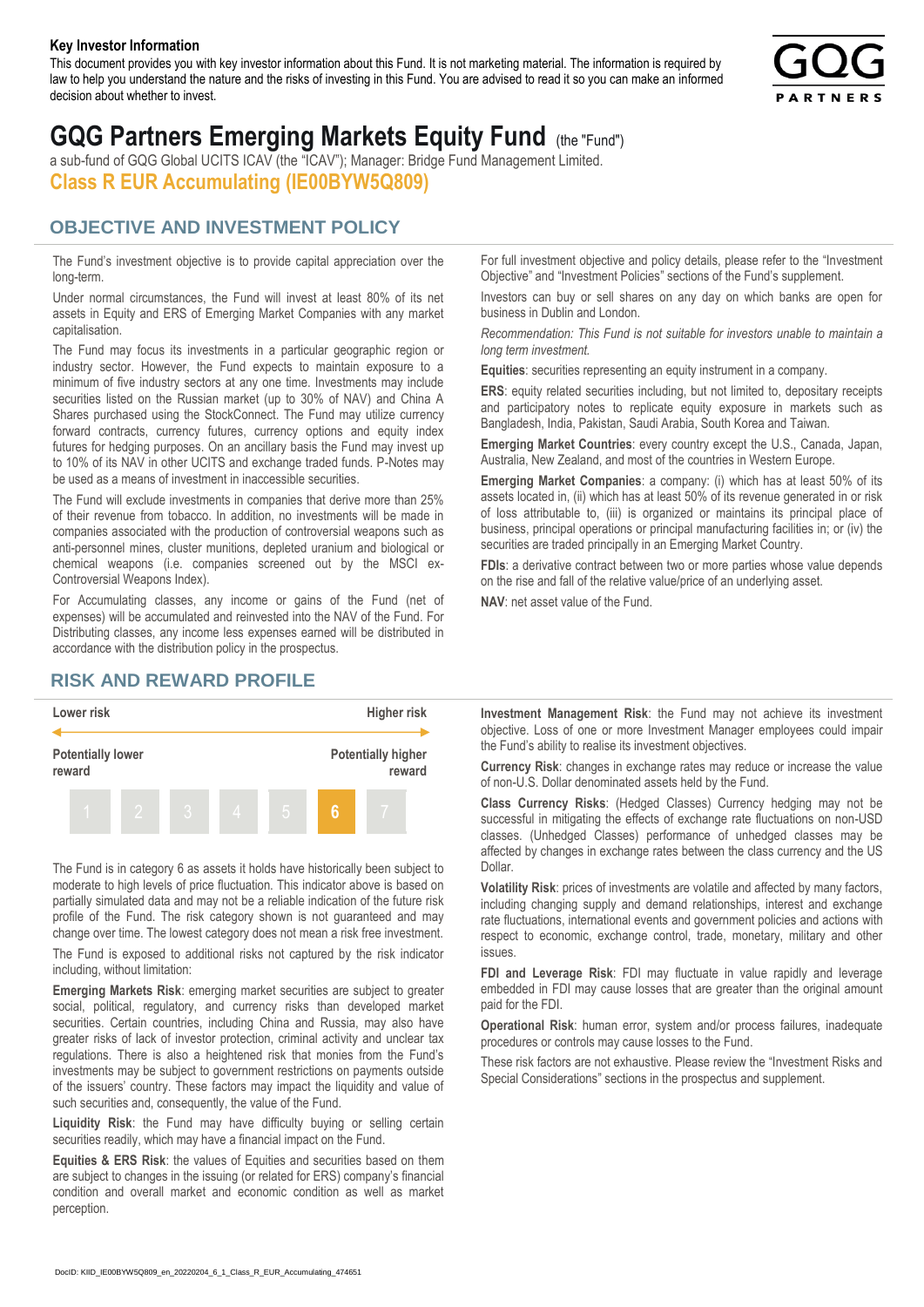#### **Key Investor Information**

This document provides you with key investor information about this Fund. It is not marketing material. The information is required by law to help you understand the nature and the risks of investing in this Fund. You are advised to read it so you can make an informed decision about whether to invest.



# **GQG Partners Emerging Markets Equity Fund** (the "Fund")

a sub-fund of GQG Global UCITS ICAV (the "ICAV"); Manager: Bridge Fund Management Limited. **Class R EUR Accumulating (IE00BYW5Q809)**

### **OBJECTIVE AND INVESTMENT POLICY**

The Fund's investment objective is to provide capital appreciation over the long-term.

Under normal circumstances, the Fund will invest at least 80% of its net assets in Equity and ERS of Emerging Market Companies with any market capitalisation.

The Fund may focus its investments in a particular geographic region or industry sector. However, the Fund expects to maintain exposure to a minimum of five industry sectors at any one time. Investments may include securities listed on the Russian market (up to 30% of NAV) and China A Shares purchased using the StockConnect. The Fund may utilize currency forward contracts, currency futures, currency options and equity index futures for hedging purposes. On an ancillary basis the Fund may invest up to 10% of its NAV in other UCITS and exchange traded funds. P-Notes may be used as a means of investment in inaccessible securities.

The Fund will exclude investments in companies that derive more than 25% of their revenue from tobacco. In addition, no investments will be made in companies associated with the production of controversial weapons such as anti-personnel mines, cluster munitions, depleted uranium and biological or chemical weapons (i.e. companies screened out by the MSCI ex-Controversial Weapons Index).

For Accumulating classes, any income or gains of the Fund (net of expenses) will be accumulated and reinvested into the NAV of the Fund. For Distributing classes, any income less expenses earned will be distributed in accordance with the distribution policy in the prospectus.

## **RISK AND REWARD PROFILE**



The Fund is in category 6 as assets it holds have historically been subject to moderate to high levels of price fluctuation. This indicator above is based on partially simulated data and may not be a reliable indication of the future risk profile of the Fund. The risk category shown is not guaranteed and may change over time. The lowest category does not mean a risk free investment.

The Fund is exposed to additional risks not captured by the risk indicator including, without limitation:

**Emerging Markets Risk**: emerging market securities are subject to greater social, political, regulatory, and currency risks than developed market securities. Certain countries, including China and Russia, may also have greater risks of lack of investor protection, criminal activity and unclear tax regulations. There is also a heightened risk that monies from the Fund's investments may be subject to government restrictions on payments outside of the issuers' country. These factors may impact the liquidity and value of such securities and, consequently, the value of the Fund.

**Liquidity Risk**: the Fund may have difficulty buying or selling certain securities readily, which may have a financial impact on the Fund.

**Equities & ERS Risk**: the values of Equities and securities based on them are subject to changes in the issuing (or related for ERS) company's financial condition and overall market and economic condition as well as market perception.

For full investment objective and policy details, please refer to the "Investment Objective" and "Investment Policies" sections of the Fund's supplement.

Investors can buy or sell shares on any day on which banks are open for business in Dublin and London.

*Recommendation: This Fund is not suitable for investors unable to maintain a long term investment.*

**Equities**: securities representing an equity instrument in a company.

**ERS:** equity related securities including, but not limited to, depositary receipts and participatory notes to replicate equity exposure in markets such as Bangladesh, India, Pakistan, Saudi Arabia, South Korea and Taiwan.

**Emerging Market Countries**: every country except the U.S., Canada, Japan, Australia, New Zealand, and most of the countries in Western Europe.

**Emerging Market Companies**: a company: (i) which has at least 50% of its assets located in, (ii) which has at least 50% of its revenue generated in or risk of loss attributable to, (iii) is organized or maintains its principal place of business, principal operations or principal manufacturing facilities in; or (iv) the securities are traded principally in an Emerging Market Country.

**FDIs**: a derivative contract between two or more parties whose value depends on the rise and fall of the relative value/price of an underlying asset.

**NAV**: net asset value of the Fund.

**Investment Management Risk**: the Fund may not achieve its investment objective. Loss of one or more Investment Manager employees could impair the Fund's ability to realise its investment objectives.

**Currency Risk**: changes in exchange rates may reduce or increase the value of non-U.S. Dollar denominated assets held by the Fund.

**Class Currency Risks**: (Hedged Classes) Currency hedging may not be successful in mitigating the effects of exchange rate fluctuations on non-USD classes. (Unhedged Classes) performance of unhedged classes may be affected by changes in exchange rates between the class currency and the US Dollar.

**Volatility Risk**: prices of investments are volatile and affected by many factors, including changing supply and demand relationships, interest and exchange rate fluctuations, international events and government policies and actions with respect to economic, exchange control, trade, monetary, military and other issues.

**FDI and Leverage Risk**: FDI may fluctuate in value rapidly and leverage embedded in FDI may cause losses that are greater than the original amount paid for the FDI.

**Operational Risk**: human error, system and/or process failures, inadequate procedures or controls may cause losses to the Fund.

These risk factors are not exhaustive. Please review the "Investment Risks and Special Considerations" sections in the prospectus and supplement.